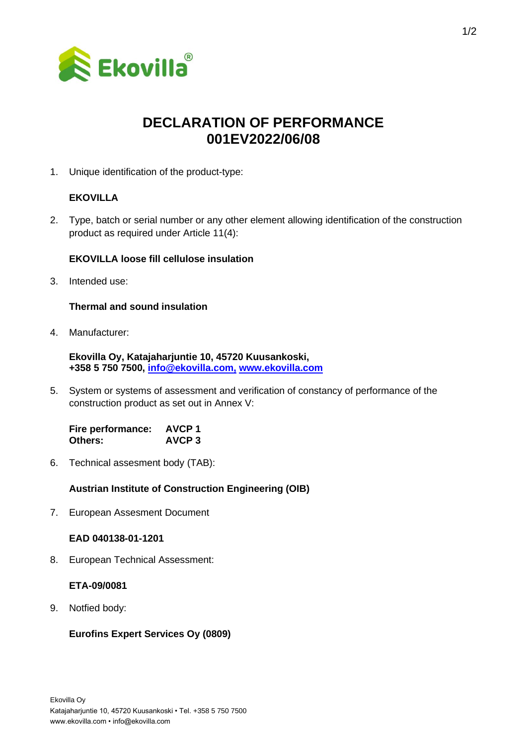

# **DECLARATION OF PERFORMANCE 001EV2022/06/08**

1. Unique identification of the product-type:

# **EKOVILLA**

2. Type, batch or serial number or any other element allowing identification of the construction product as required under Article 11(4):

### **EKOVILLA loose fill cellulose insulation**

3. Intended use:

### **Thermal and sound insulation**

4. Manufacturer:

**Ekovilla Oy, Katajaharjuntie 10, 45720 Kuusankoski, +358 5 750 7500, [info@ekovilla.com,](mailto:info@ekovilla.com) [www.ekovilla.com](https://ekovilla.com/)**

5. System or systems of assessment and verification of constancy of performance of the construction product as set out in Annex V:

**Fire performance: AVCP 1 Others: AVCP 3**

6. Technical assesment body (TAB):

## **Austrian Institute of Construction Engineering (OIB)**

7. European Assesment Document

#### **EAD 040138-01-1201**

8. European Technical Assessment:

#### **ETA-09/0081**

9. Notfied body:

## **Eurofins Expert Services Oy (0809)**